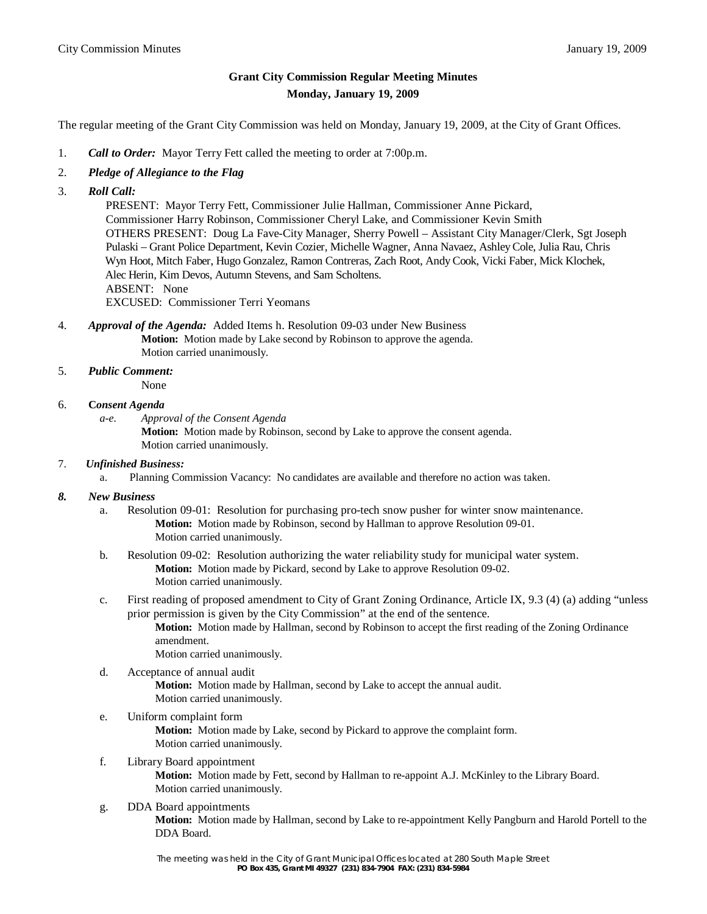## **Grant City Commission Regular Meeting Minutes Monday, January 19, 2009**

The regular meeting of the Grant City Commission was held on Monday, January 19, 2009, at the City of Grant Offices.

- 1. *Call to Order:* Mayor Terry Fett called the meeting to order at 7:00p.m.
- 2. *Pledge of Allegiance to the Flag*
- 3. *Roll Call:*

 PRESENT: Mayor Terry Fett, Commissioner Julie Hallman, Commissioner Anne Pickard, Commissioner Harry Robinson, Commissioner Cheryl Lake, and Commissioner Kevin Smith OTHERS PRESENT: Doug La Fave-City Manager, Sherry Powell – Assistant City Manager/Clerk, Sgt Joseph Pulaski – Grant Police Department, Kevin Cozier, Michelle Wagner, Anna Navaez, Ashley Cole, Julia Rau, Chris Wyn Hoot, Mitch Faber, Hugo Gonzalez, Ramon Contreras, Zach Root, Andy Cook, Vicki Faber, Mick Klochek, Alec Herin, Kim Devos, Autumn Stevens, and Sam Scholtens. ABSENT: None

EXCUSED: Commissioner Terri Yeomans

- 4. *Approval of the Agenda:* Added Items h. Resolution 09-03 under New Business **Motion:** Motion made by Lake second by Robinson to approve the agenda. Motion carried unanimously.
- 5. *Public Comment:*

None

- 6. **C***onsent Agenda*
	- *a-e. Approval of the Consent Agenda*

**Motion:** Motion made by Robinson, second by Lake to approve the consent agenda. Motion carried unanimously.

- 7. *Unfinished Business:*
	- a. Planning Commission Vacancy: No candidates are available and therefore no action was taken.
- *8. New Business*
	- a. Resolution 09-01: Resolution for purchasing pro-tech snow pusher for winter snow maintenance. **Motion:** Motion made by Robinson, second by Hallman to approve Resolution 09-01. Motion carried unanimously.
	- b. Resolution 09-02: Resolution authorizing the water reliability study for municipal water system. **Motion:** Motion made by Pickard, second by Lake to approve Resolution 09-02. Motion carried unanimously.
	- c. First reading of proposed amendment to City of Grant Zoning Ordinance, Article IX, 9.3 (4) (a) adding "unless prior permission is given by the City Commission" at the end of the sentence.

**Motion:** Motion made by Hallman, second by Robinson to accept the first reading of the Zoning Ordinance amendment.

Motion carried unanimously.

d. Acceptance of annual audit

**Motion:** Motion made by Hallman, second by Lake to accept the annual audit. Motion carried unanimously.

- e. Uniform complaint form **Motion:** Motion made by Lake, second by Pickard to approve the complaint form. Motion carried unanimously.
- f. Library Board appointment

**Motion:** Motion made by Fett, second by Hallman to re-appoint A.J. McKinley to the Library Board. Motion carried unanimously.

g. DDA Board appointments

**Motion:** Motion made by Hallman, second by Lake to re-appointment Kelly Pangburn and Harold Portell to the DDA Board.